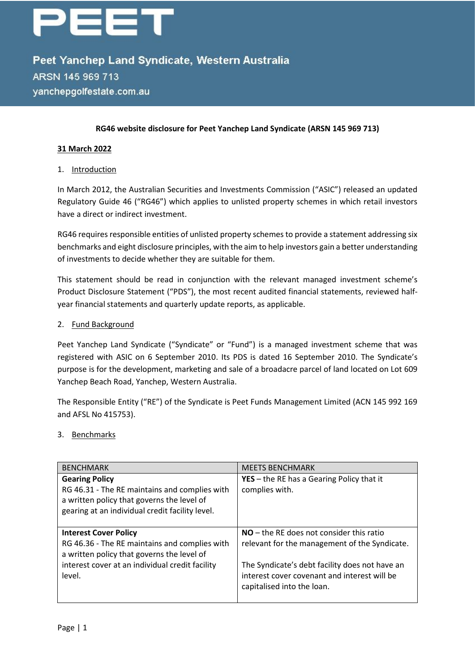# een

Peet Yanchep Land Syndicate, Western Australia ARSN 145 969 713 yanchepgolfestate.com.au

#### **RG46 website disclosure for Peet Yanchep Land Syndicate (ARSN 145 969 713)**

#### **31 March 2022**

#### 1. Introduction

In March 2012, the Australian Securities and Investments Commission ("ASIC") released an updated Regulatory Guide 46 ("RG46") which applies to unlisted property schemes in which retail investors have a direct or indirect investment.

RG46 requires responsible entities of unlisted property schemes to provide a statement addressing six benchmarks and eight disclosure principles, with the aim to help investors gain a better understanding of investments to decide whether they are suitable for them.

This statement should be read in conjunction with the relevant managed investment scheme's Product Disclosure Statement ("PDS"), the most recent audited financial statements, reviewed halfyear financial statements and quarterly update reports, as applicable.

#### 2. Fund Background

Peet Yanchep Land Syndicate ("Syndicate" or "Fund") is a managed investment scheme that was registered with ASIC on 6 September 2010. Its PDS is dated 16 September 2010. The Syndicate's purpose is for the development, marketing and sale of a broadacre parcel of land located on Lot 609 Yanchep Beach Road, Yanchep, Western Australia.

The Responsible Entity ("RE") of the Syndicate is Peet Funds Management Limited (ACN 145 992 169 and AFSL No 415753).

#### 3. Benchmarks

| <b>BENCHMARK</b>                                | <b>MEETS BENCHMARK</b>                           |
|-------------------------------------------------|--------------------------------------------------|
| <b>Gearing Policy</b>                           | <b>YES</b> – the RE has a Gearing Policy that it |
| RG 46.31 - The RE maintains and complies with   | complies with.                                   |
| a written policy that governs the level of      |                                                  |
| gearing at an individual credit facility level. |                                                  |
|                                                 |                                                  |
| <b>Interest Cover Policy</b>                    | $NO$ – the RE does not consider this ratio       |
| RG 46.36 - The RE maintains and complies with   | relevant for the management of the Syndicate.    |
| a written policy that governs the level of      |                                                  |
| interest cover at an individual credit facility | The Syndicate's debt facility does not have an   |
| level.                                          | interest cover covenant and interest will be     |
|                                                 | capitalised into the loan.                       |
|                                                 |                                                  |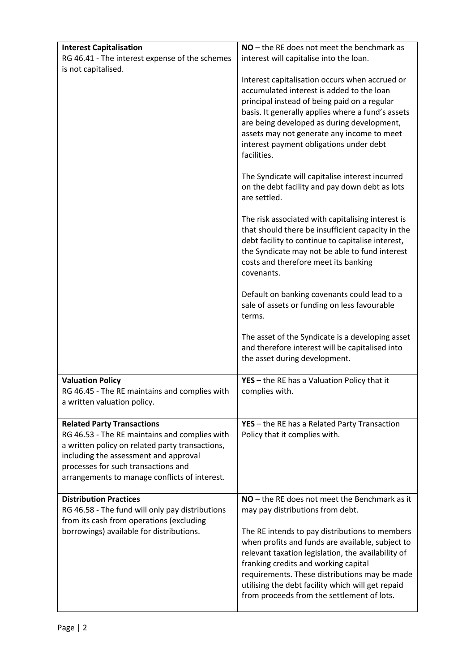| <b>Interest Capitalisation</b>                                                                                                                                                                                                    | $NO$ – the RE does not meet the benchmark as                                                                                                                                                                                                                                                                                                                                                                                                                                                                                     |
|-----------------------------------------------------------------------------------------------------------------------------------------------------------------------------------------------------------------------------------|----------------------------------------------------------------------------------------------------------------------------------------------------------------------------------------------------------------------------------------------------------------------------------------------------------------------------------------------------------------------------------------------------------------------------------------------------------------------------------------------------------------------------------|
| RG 46.41 - The interest expense of the schemes                                                                                                                                                                                    | interest will capitalise into the loan.                                                                                                                                                                                                                                                                                                                                                                                                                                                                                          |
| is not capitalised.                                                                                                                                                                                                               |                                                                                                                                                                                                                                                                                                                                                                                                                                                                                                                                  |
|                                                                                                                                                                                                                                   | Interest capitalisation occurs when accrued or<br>accumulated interest is added to the loan<br>principal instead of being paid on a regular<br>basis. It generally applies where a fund's assets<br>are being developed as during development,<br>assets may not generate any income to meet<br>interest payment obligations under debt<br>facilities.<br>The Syndicate will capitalise interest incurred<br>on the debt facility and pay down debt as lots<br>are settled.<br>The risk associated with capitalising interest is |
|                                                                                                                                                                                                                                   | that should there be insufficient capacity in the<br>debt facility to continue to capitalise interest,<br>the Syndicate may not be able to fund interest<br>costs and therefore meet its banking<br>covenants.                                                                                                                                                                                                                                                                                                                   |
|                                                                                                                                                                                                                                   | Default on banking covenants could lead to a<br>sale of assets or funding on less favourable<br>terms.                                                                                                                                                                                                                                                                                                                                                                                                                           |
|                                                                                                                                                                                                                                   | The asset of the Syndicate is a developing asset<br>and therefore interest will be capitalised into<br>the asset during development.                                                                                                                                                                                                                                                                                                                                                                                             |
| <b>Valuation Policy</b>                                                                                                                                                                                                           | YES - the RE has a Valuation Policy that it                                                                                                                                                                                                                                                                                                                                                                                                                                                                                      |
| RG 46.45 - The RE maintains and complies with<br>a written valuation policy.                                                                                                                                                      | complies with.                                                                                                                                                                                                                                                                                                                                                                                                                                                                                                                   |
| <b>Related Party Transactions</b>                                                                                                                                                                                                 | YES - the RE has a Related Party Transaction                                                                                                                                                                                                                                                                                                                                                                                                                                                                                     |
| RG 46.53 - The RE maintains and complies with<br>a written policy on related party transactions,<br>including the assessment and approval<br>processes for such transactions and<br>arrangements to manage conflicts of interest. | Policy that it complies with.                                                                                                                                                                                                                                                                                                                                                                                                                                                                                                    |
| <b>Distribution Practices</b>                                                                                                                                                                                                     | NO - the RE does not meet the Benchmark as it                                                                                                                                                                                                                                                                                                                                                                                                                                                                                    |
| RG 46.58 - The fund will only pay distributions                                                                                                                                                                                   | may pay distributions from debt.                                                                                                                                                                                                                                                                                                                                                                                                                                                                                                 |
| from its cash from operations (excluding<br>borrowings) available for distributions.                                                                                                                                              | The RE intends to pay distributions to members<br>when profits and funds are available, subject to<br>relevant taxation legislation, the availability of<br>franking credits and working capital                                                                                                                                                                                                                                                                                                                                 |
|                                                                                                                                                                                                                                   | requirements. These distributions may be made<br>utilising the debt facility which will get repaid<br>from proceeds from the settlement of lots.                                                                                                                                                                                                                                                                                                                                                                                 |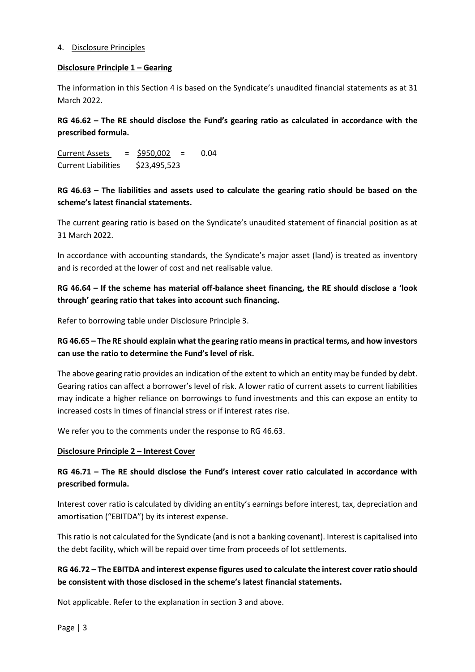#### 4. Disclosure Principles

#### **Disclosure Principle 1 – Gearing**

The information in this Section 4 is based on the Syndicate's unaudited financial statements as at 31 March 2022.

**RG 46.62 – The RE should disclose the Fund's gearing ratio as calculated in accordance with the prescribed formula.**

Current Assets = \$950,002 = 0.04 Current Liabilities \$23,495,523

## **RG 46.63 – The liabilities and assets used to calculate the gearing ratio should be based on the scheme's latest financial statements.**

The current gearing ratio is based on the Syndicate's unaudited statement of financial position as at 31 March 2022.

In accordance with accounting standards, the Syndicate's major asset (land) is treated as inventory and is recorded at the lower of cost and net realisable value.

# **RG 46.64 – If the scheme has material off-balance sheet financing, the RE should disclose a 'look through' gearing ratio that takes into account such financing.**

Refer to borrowing table under Disclosure Principle 3.

## **RG 46.65 – The RE should explain what the gearing ratio means in practical terms, and how investors can use the ratio to determine the Fund's level of risk.**

The above gearing ratio provides an indication of the extent to which an entity may be funded by debt. Gearing ratios can affect a borrower's level of risk. A lower ratio of current assets to current liabilities may indicate a higher reliance on borrowings to fund investments and this can expose an entity to increased costs in times of financial stress or if interest rates rise.

We refer you to the comments under the response to RG 46.63.

#### **Disclosure Principle 2 – Interest Cover**

## **RG 46.71 – The RE should disclose the Fund's interest cover ratio calculated in accordance with prescribed formula.**

Interest cover ratio is calculated by dividing an entity's earnings before interest, tax, depreciation and amortisation ("EBITDA") by its interest expense.

This ratio is not calculated for the Syndicate (and is not a banking covenant). Interest is capitalised into the debt facility, which will be repaid over time from proceeds of lot settlements.

## **RG 46.72 – The EBITDA and interest expense figures used to calculate the interest cover ratio should be consistent with those disclosed in the scheme's latest financial statements.**

Not applicable. Refer to the explanation in section 3 and above.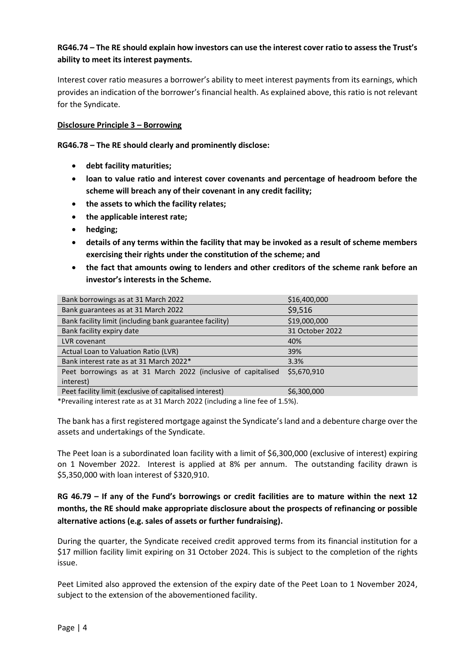## **RG46.74 – The RE should explain how investors can use the interest cover ratio to assess the Trust's ability to meet its interest payments.**

Interest cover ratio measures a borrower's ability to meet interest payments from its earnings, which provides an indication of the borrower's financial health. As explained above, this ratio is not relevant for the Syndicate.

#### **Disclosure Principle 3 – Borrowing**

**RG46.78 – The RE should clearly and prominently disclose:**

- **debt facility maturities;**
- **loan to value ratio and interest cover covenants and percentage of headroom before the scheme will breach any of their covenant in any credit facility;**
- **the assets to which the facility relates;**
- **the applicable interest rate;**
- **hedging;**
- **details of any terms within the facility that may be invoked as a result of scheme members exercising their rights under the constitution of the scheme; and**
- **the fact that amounts owing to lenders and other creditors of the scheme rank before an investor's interests in the Scheme.**

| Bank borrowings as at 31 March 2022                           | \$16,400,000    |
|---------------------------------------------------------------|-----------------|
| Bank guarantees as at 31 March 2022                           | \$9,516         |
| Bank facility limit (including bank guarantee facility)       | \$19,000,000    |
| Bank facility expiry date                                     | 31 October 2022 |
| LVR covenant                                                  | 40%             |
| Actual Loan to Valuation Ratio (LVR)                          | 39%             |
| Bank interest rate as at 31 March 2022*                       | 3.3%            |
| Peet borrowings as at 31 March 2022 (inclusive of capitalised | \$5,670,910     |
| interest)                                                     |                 |
| Peet facility limit (exclusive of capitalised interest)       | \$6,300,000     |

\*Prevailing interest rate as at 31 March 2022 (including a line fee of 1.5%).

The bank has a first registered mortgage against the Syndicate's land and a debenture charge over the assets and undertakings of the Syndicate.

The Peet loan is a subordinated loan facility with a limit of \$6,300,000 (exclusive of interest) expiring on 1 November 2022. Interest is applied at 8% per annum. The outstanding facility drawn is \$5,350,000 with loan interest of \$320,910.

# **RG 46.79 – If any of the Fund's borrowings or credit facilities are to mature within the next 12 months, the RE should make appropriate disclosure about the prospects of refinancing or possible alternative actions (e.g. sales of assets or further fundraising).**

During the quarter, the Syndicate received credit approved terms from its financial institution for a \$17 million facility limit expiring on 31 October 2024. This is subject to the completion of the rights issue.

Peet Limited also approved the extension of the expiry date of the Peet Loan to 1 November 2024, subject to the extension of the abovementioned facility.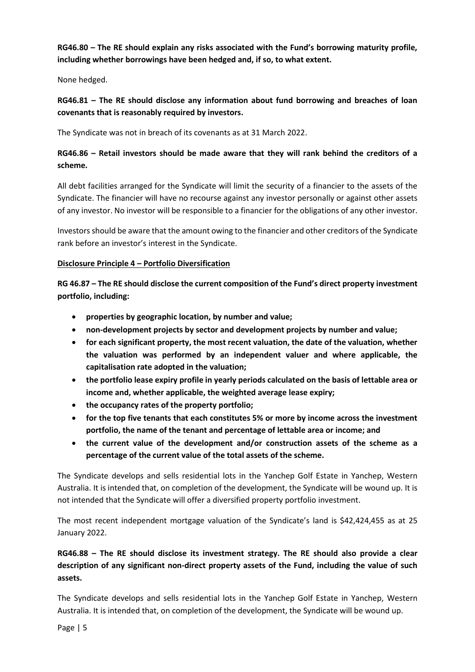**RG46.80 – The RE should explain any risks associated with the Fund's borrowing maturity profile, including whether borrowings have been hedged and, if so, to what extent.**

None hedged.

**RG46.81 – The RE should disclose any information about fund borrowing and breaches of loan covenants that is reasonably required by investors.**

The Syndicate was not in breach of its covenants as at 31 March 2022.

# **RG46.86 – Retail investors should be made aware that they will rank behind the creditors of a scheme.**

All debt facilities arranged for the Syndicate will limit the security of a financier to the assets of the Syndicate. The financier will have no recourse against any investor personally or against other assets of any investor. No investor will be responsible to a financier for the obligations of any other investor.

Investors should be aware that the amount owing to the financier and other creditors of the Syndicate rank before an investor's interest in the Syndicate.

#### **Disclosure Principle 4 – Portfolio Diversification**

**RG 46.87 – The RE should disclose the current composition of the Fund's direct property investment portfolio, including:**

- **properties by geographic location, by number and value;**
- **non-development projects by sector and development projects by number and value;**
- **for each significant property, the most recent valuation, the date of the valuation, whether the valuation was performed by an independent valuer and where applicable, the capitalisation rate adopted in the valuation;**
- **the portfolio lease expiry profile in yearly periods calculated on the basis of lettable area or income and, whether applicable, the weighted average lease expiry;**
- **the occupancy rates of the property portfolio;**
- **for the top five tenants that each constitutes 5% or more by income across the investment portfolio, the name of the tenant and percentage of lettable area or income; and**
- **the current value of the development and/or construction assets of the scheme as a percentage of the current value of the total assets of the scheme.**

The Syndicate develops and sells residential lots in the Yanchep Golf Estate in Yanchep, Western Australia. It is intended that, on completion of the development, the Syndicate will be wound up. It is not intended that the Syndicate will offer a diversified property portfolio investment.

The most recent independent mortgage valuation of the Syndicate's land is \$42,424,455 as at 25 January 2022.

# **RG46.88 – The RE should disclose its investment strategy. The RE should also provide a clear description of any significant non-direct property assets of the Fund, including the value of such assets.**

The Syndicate develops and sells residential lots in the Yanchep Golf Estate in Yanchep, Western Australia. It is intended that, on completion of the development, the Syndicate will be wound up.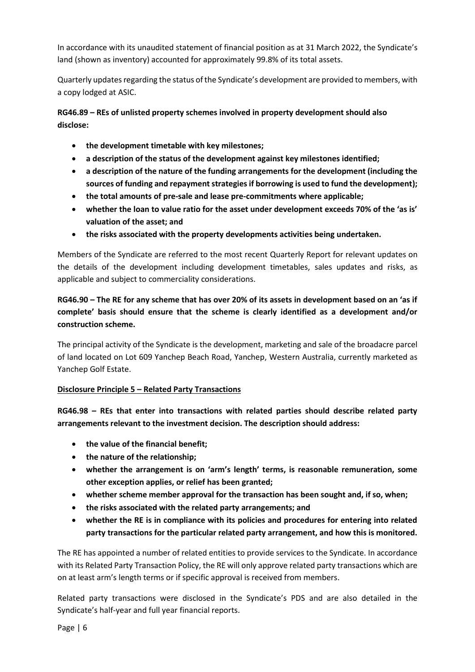In accordance with its unaudited statement of financial position as at 31 March 2022, the Syndicate's land (shown as inventory) accounted for approximately 99.8% of its total assets.

Quarterly updates regarding the status of the Syndicate's development are provided to members, with a copy lodged at ASIC.

**RG46.89 – REs of unlisted property schemes involved in property development should also disclose:**

- **the development timetable with key milestones;**
- **a description of the status of the development against key milestones identified;**
- **a description of the nature of the funding arrangements for the development (including the sources of funding and repayment strategies if borrowing is used to fund the development);**
- **the total amounts of pre-sale and lease pre-commitments where applicable;**
- **whether the loan to value ratio for the asset under development exceeds 70% of the 'as is' valuation of the asset; and**
- **the risks associated with the property developments activities being undertaken.**

Members of the Syndicate are referred to the most recent Quarterly Report for relevant updates on the details of the development including development timetables, sales updates and risks, as applicable and subject to commerciality considerations.

# **RG46.90 – The RE for any scheme that has over 20% of its assets in development based on an 'as if complete' basis should ensure that the scheme is clearly identified as a development and/or construction scheme.**

The principal activity of the Syndicate is the development, marketing and sale of the broadacre parcel of land located on Lot 609 Yanchep Beach Road, Yanchep, Western Australia, currently marketed as Yanchep Golf Estate.

#### **Disclosure Principle 5 – Related Party Transactions**

**RG46.98 – REs that enter into transactions with related parties should describe related party arrangements relevant to the investment decision. The description should address:**

- **the value of the financial benefit;**
- **the nature of the relationship;**
- **whether the arrangement is on 'arm's length' terms, is reasonable remuneration, some other exception applies, or relief has been granted;**
- **whether scheme member approval for the transaction has been sought and, if so, when;**
- **the risks associated with the related party arrangements; and**
- **whether the RE is in compliance with its policies and procedures for entering into related party transactions for the particular related party arrangement, and how this is monitored.**

The RE has appointed a number of related entities to provide services to the Syndicate. In accordance with its Related Party Transaction Policy, the RE will only approve related party transactions which are on at least arm's length terms or if specific approval is received from members.

Related party transactions were disclosed in the Syndicate's PDS and are also detailed in the Syndicate's half-year and full year financial reports.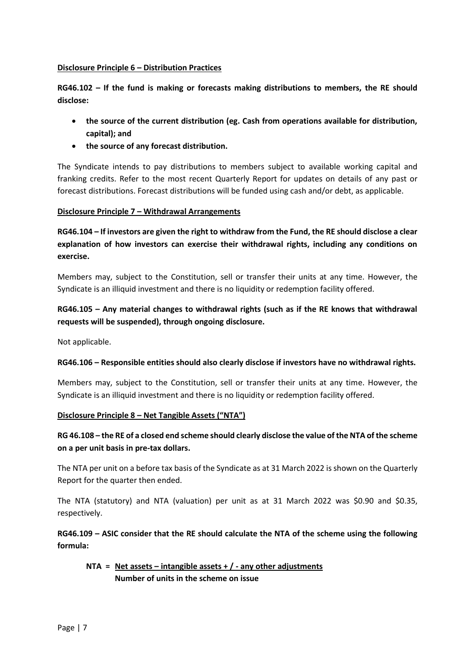#### **Disclosure Principle 6 – Distribution Practices**

**RG46.102 – If the fund is making or forecasts making distributions to members, the RE should disclose:**

- **the source of the current distribution (eg. Cash from operations available for distribution, capital); and**
- **the source of any forecast distribution.**

The Syndicate intends to pay distributions to members subject to available working capital and franking credits. Refer to the most recent Quarterly Report for updates on details of any past or forecast distributions. Forecast distributions will be funded using cash and/or debt, as applicable.

#### **Disclosure Principle 7 – Withdrawal Arrangements**

**RG46.104 – If investors are given the right to withdraw from the Fund, the RE should disclose a clear explanation of how investors can exercise their withdrawal rights, including any conditions on exercise.**

Members may, subject to the Constitution, sell or transfer their units at any time. However, the Syndicate is an illiquid investment and there is no liquidity or redemption facility offered.

# **RG46.105 – Any material changes to withdrawal rights (such as if the RE knows that withdrawal requests will be suspended), through ongoing disclosure.**

Not applicable.

#### **RG46.106 – Responsible entities should also clearly disclose if investors have no withdrawal rights.**

Members may, subject to the Constitution, sell or transfer their units at any time. However, the Syndicate is an illiquid investment and there is no liquidity or redemption facility offered.

#### **Disclosure Principle 8 – Net Tangible Assets ("NTA")**

## **RG 46.108 – the RE of a closed end scheme should clearly disclose the value of the NTA of the scheme on a per unit basis in pre-tax dollars.**

The NTA per unit on a before tax basis of the Syndicate as at 31 March 2022 is shown on the Quarterly Report for the quarter then ended.

The NTA (statutory) and NTA (valuation) per unit as at 31 March 2022 was \$0.90 and \$0.35, respectively.

## **RG46.109 – ASIC consider that the RE should calculate the NTA of the scheme using the following formula:**

## **NTA = Net assets – intangible assets + / - any other adjustments Number of units in the scheme on issue**